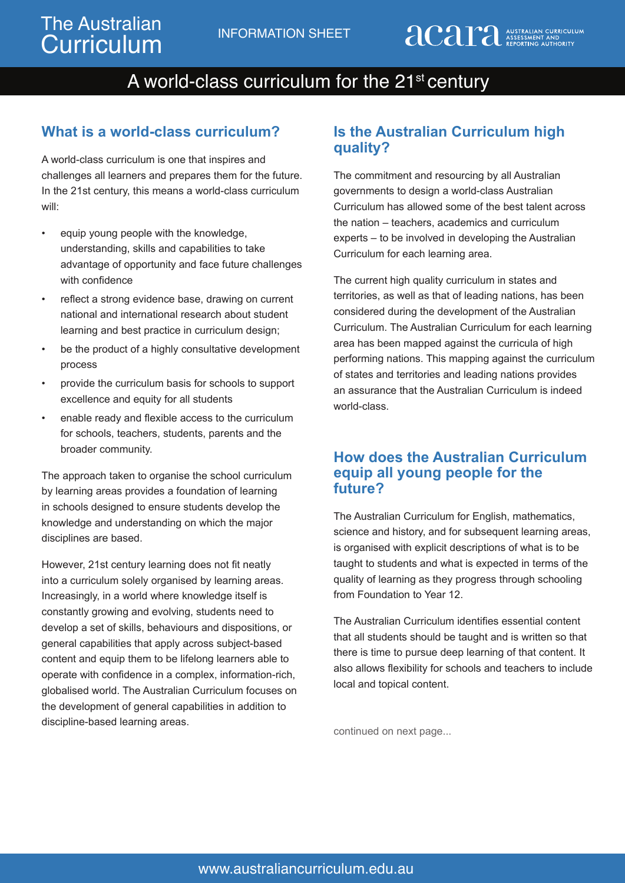## A world-class curriculum for the 21<sup>st</sup> century

### **What is a world-class curriculum?**

A world-class curriculum is one that inspires and challenges all learners and prepares them for the future. In the 21st century, this means a world-class curriculum will:

- equip young people with the knowledge, understanding, skills and capabilities to take advantage of opportunity and face future challenges with confidence
- reflect a strong evidence base, drawing on current national and international research about student learning and best practice in curriculum design;
- be the product of a highly consultative development process
- provide the curriculum basis for schools to support excellence and equity for all students
- enable ready and flexible access to the curriculum for schools, teachers, students, parents and the broader community.

The approach taken to organise the school curriculum by learning areas provides a foundation of learning in schools designed to ensure students develop the knowledge and understanding on which the major disciplines are based.

However, 21st century learning does not fit neatly into a curriculum solely organised by learning areas. Increasingly, in a world where knowledge itself is constantly growing and evolving, students need to develop a set of skills, behaviours and dispositions, or general capabilities that apply across subject-based content and equip them to be lifelong learners able to operate with confidence in a complex, information-rich, globalised world. The Australian Curriculum focuses on the development of general capabilities in addition to discipline-based learning areas.

### **Is the Australian Curriculum high quality?**

The commitment and resourcing by all Australian governments to design a world-class Australian Curriculum has allowed some of the best talent across the nation – teachers, academics and curriculum experts – to be involved in developing the Australian Curriculum for each learning area.

The current high quality curriculum in states and territories, as well as that of leading nations, has been considered during the development of the Australian Curriculum. The Australian Curriculum for each learning area has been mapped against the curricula of high performing nations. This mapping against the curriculum of states and territories and leading nations provides an assurance that the Australian Curriculum is indeed world-class.

#### **How does the Australian Curriculum equip all young people for the future?**

The Australian Curriculum for English, mathematics, science and history, and for subsequent learning areas, is organised with explicit descriptions of what is to be taught to students and what is expected in terms of the quality of learning as they progress through schooling from Foundation to Year 12.

The Australian Curriculum identifies essential content that all students should be taught and is written so that there is time to pursue deep learning of that content. It also allows flexibility for schools and teachers to include local and topical content.

continued on next page...